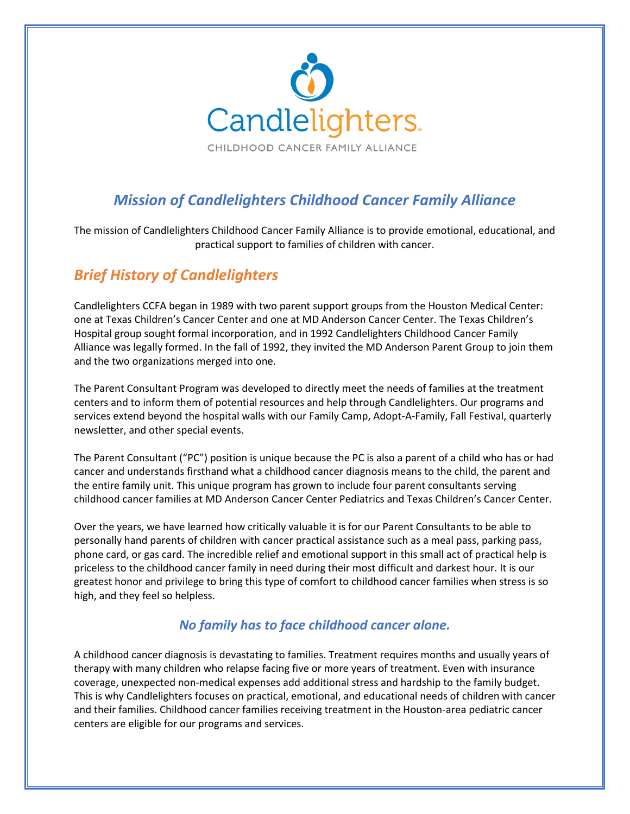

# *Mission of Candlelighters Childhood Cancer Family Alliance*

The mission of Candlelighters Childhood Cancer Family Alliance is to provide emotional, educational, and practical support to families of children with cancer.

## *Brief History of Candlelighters*

Candlelighters CCFA began in 1989 with two parent support groups from the Houston Medical Center: one at Texas Children's Cancer Center and one at MD Anderson Cancer Center. The Texas Children's Hospital group sought formal incorporation, and in 1992 Candlelighters Childhood Cancer Family Alliance was legally formed. In the fall of 1992, they invited the MD Anderson Parent Group to join them and the two organizations merged into one.

The Parent Consultant Program was developed to directly meet the needs of families at the treatment centers and to inform them of potential resources and help through Candlelighters. Our programs and services extend beyond the hospital walls with our Family Camp, Adopt-A-Family, Fall Festival, quarterly newsletter, and other special events.

The Parent Consultant ("PC") position is unique because the PC is also a parent of a child who has or had cancer and understands firsthand what a childhood cancer diagnosis means to the child, the parent and the entire family unit. This unique program has grown to include four parent consultants serving childhood cancer families at MD Anderson Cancer Center Pediatrics and Texas Children's Cancer Center.

Over the years, we have learned how critically valuable it is for our Parent Consultants to be able to personally hand parents of children with cancer practical assistance such as a meal pass, parking pass, phone card, or gas card. The incredible relief and emotional support in this small act of practical help is priceless to the childhood cancer family in need during their most difficult and darkest hour. It is our greatest honor and privilege to bring this type of comfort to childhood cancer families when stress is so high, and they feel so helpless.

### *No family has to face childhood cancer alone.*

A childhood cancer diagnosis is devastating to families. Treatment requires months and usually years of therapy with many children who relapse facing five or more years of treatment. Even with insurance coverage, unexpected non-medical expenses add additional stress and hardship to the family budget. This is why Candlelighters focuses on practical, emotional, and educational needs of children with cancer and their families. Childhood cancer families receiving treatment in the Houston-area pediatric cancer centers are eligible for our programs and services.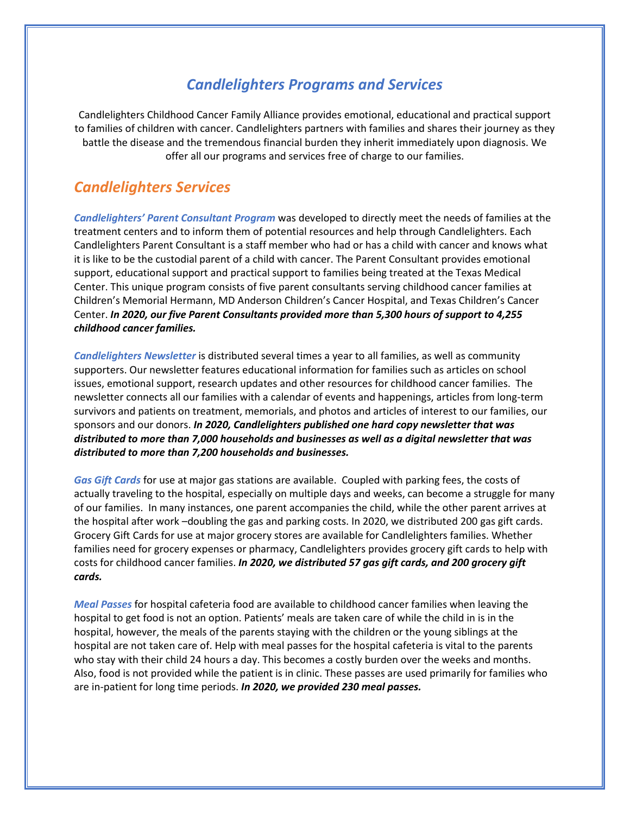## *Candlelighters Programs and Services*

Candlelighters Childhood Cancer Family Alliance provides emotional, educational and practical support to families of children with cancer. Candlelighters partners with families and shares their journey as they battle the disease and the tremendous financial burden they inherit immediately upon diagnosis. We offer all our programs and services free of charge to our families.

## *Candlelighters Services*

*Candlelighters' Parent Consultant Program* was developed to directly meet the needs of families at the treatment centers and to inform them of potential resources and help through Candlelighters. Each Candlelighters Parent Consultant is a staff member who had or has a child with cancer and knows what it is like to be the custodial parent of a child with cancer. The Parent Consultant provides emotional support, educational support and practical support to families being treated at the Texas Medical Center. This unique program consists of five parent consultants serving childhood cancer families at Children's Memorial Hermann, MD Anderson Children's Cancer Hospital, and Texas Children's Cancer Center. *In 2020, our five Parent Consultants provided more than 5,300 hours of support to 4,255 childhood cancer families.*

*Candlelighters Newsletter* is distributed several times a year to all families, as well as community supporters. Our newsletter features educational information for families such as articles on school issues, emotional support, research updates and other resources for childhood cancer families. The newsletter connects all our families with a calendar of events and happenings, articles from long-term survivors and patients on treatment, memorials, and photos and articles of interest to our families, our sponsors and our donors. *In 2020, Candlelighters published one hard copy newsletter that was distributed to more than 7,000 households and businesses as well as a digital newsletter that was distributed to more than 7,200 households and businesses.*

*Gas Gift Cards* for use at major gas stations are available. Coupled with parking fees, the costs of actually traveling to the hospital, especially on multiple days and weeks, can become a struggle for many of our families. In many instances, one parent accompanies the child, while the other parent arrives at the hospital after work –doubling the gas and parking costs. In 2020, we distributed 200 gas gift cards. Grocery Gift Cards for use at major grocery stores are available for Candlelighters families. Whether families need for grocery expenses or pharmacy, Candlelighters provides grocery gift cards to help with costs for childhood cancer families. *In 2020, we distributed 57 gas gift cards, and 200 grocery gift cards.*

*Meal Passes* for hospital cafeteria food are available to childhood cancer families when leaving the hospital to get food is not an option. Patients' meals are taken care of while the child in is in the hospital, however, the meals of the parents staying with the children or the young siblings at the hospital are not taken care of. Help with meal passes for the hospital cafeteria is vital to the parents who stay with their child 24 hours a day. This becomes a costly burden over the weeks and months. Also, food is not provided while the patient is in clinic. These passes are used primarily for families who are in-patient for long time periods. *In 2020, we provided 230 meal passes.*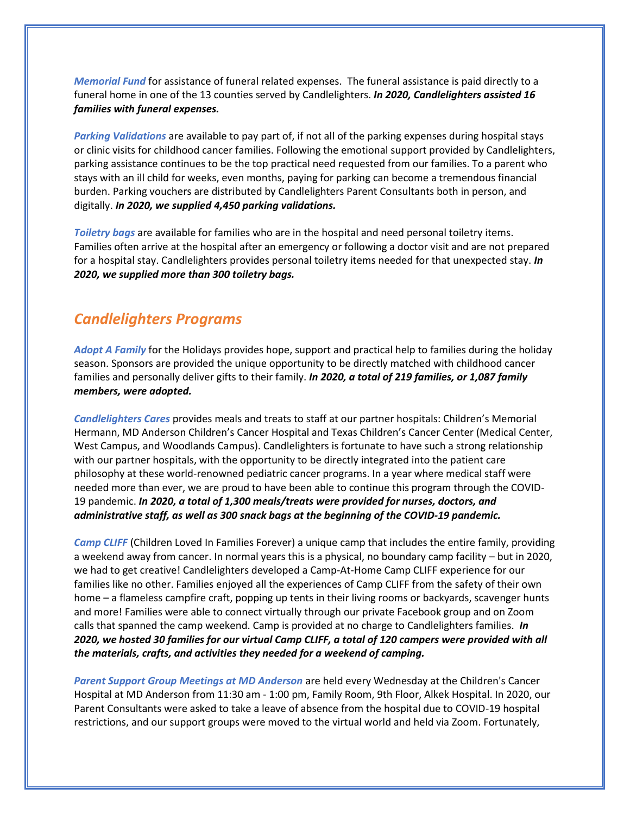*Memorial Fund* for assistance of funeral related expenses. The funeral assistance is paid directly to a funeral home in one of the 13 counties served by Candlelighters. *In 2020, Candlelighters assisted 16 families with funeral expenses.*

*Parking Validations* are available to pay part of, if not all of the parking expenses during hospital stays or clinic visits for childhood cancer families. Following the emotional support provided by Candlelighters, parking assistance continues to be the top practical need requested from our families. To a parent who stays with an ill child for weeks, even months, paying for parking can become a tremendous financial burden. Parking vouchers are distributed by Candlelighters Parent Consultants both in person, and digitally. *In 2020, we supplied 4,450 parking validations.*

*Toiletry bags* are available for families who are in the hospital and need personal toiletry items. Families often arrive at the hospital after an emergency or following a doctor visit and are not prepared for a hospital stay. Candlelighters provides personal toiletry items needed for that unexpected stay. *In 2020, we supplied more than 300 toiletry bags.*

#### *Candlelighters Programs*

*Adopt A Family* for the Holidays provides hope, support and practical help to families during the holiday season. Sponsors are provided the unique opportunity to be directly matched with childhood cancer families and personally deliver gifts to their family. *In 2020, a total of 219 families, or 1,087 family members, were adopted.* 

*Candlelighters Cares* provides meals and treats to staff at our partner hospitals: Children's Memorial Hermann, MD Anderson Children's Cancer Hospital and Texas Children's Cancer Center (Medical Center, West Campus, and Woodlands Campus). Candlelighters is fortunate to have such a strong relationship with our partner hospitals, with the opportunity to be directly integrated into the patient care philosophy at these world-renowned pediatric cancer programs. In a year where medical staff were needed more than ever, we are proud to have been able to continue this program through the COVID-19 pandemic. *In 2020, a total of 1,300 meals/treats were provided for nurses, doctors, and administrative staff, as well as 300 snack bags at the beginning of the COVID-19 pandemic.*

*Camp CLIFF* (Children Loved In Families Forever) a unique camp that includes the entire family, providing a weekend away from cancer. In normal years this is a physical, no boundary camp facility – but in 2020, we had to get creative! Candlelighters developed a Camp-At-Home Camp CLIFF experience for our families like no other. Families enjoyed all the experiences of Camp CLIFF from the safety of their own home – a flameless campfire craft, popping up tents in their living rooms or backyards, scavenger hunts and more! Families were able to connect virtually through our private Facebook group and on Zoom calls that spanned the camp weekend. Camp is provided at no charge to Candlelighters families. *In 2020, we hosted 30 families for our virtual Camp CLIFF, a total of 120 campers were provided with all the materials, crafts, and activities they needed for a weekend of camping.*

*Parent Support Group Meetings at MD Anderson* are held every Wednesday at the Children's Cancer Hospital at MD Anderson from 11:30 am - 1:00 pm, Family Room, 9th Floor, Alkek Hospital. In 2020, our Parent Consultants were asked to take a leave of absence from the hospital due to COVID-19 hospital restrictions, and our support groups were moved to the virtual world and held via Zoom. Fortunately,